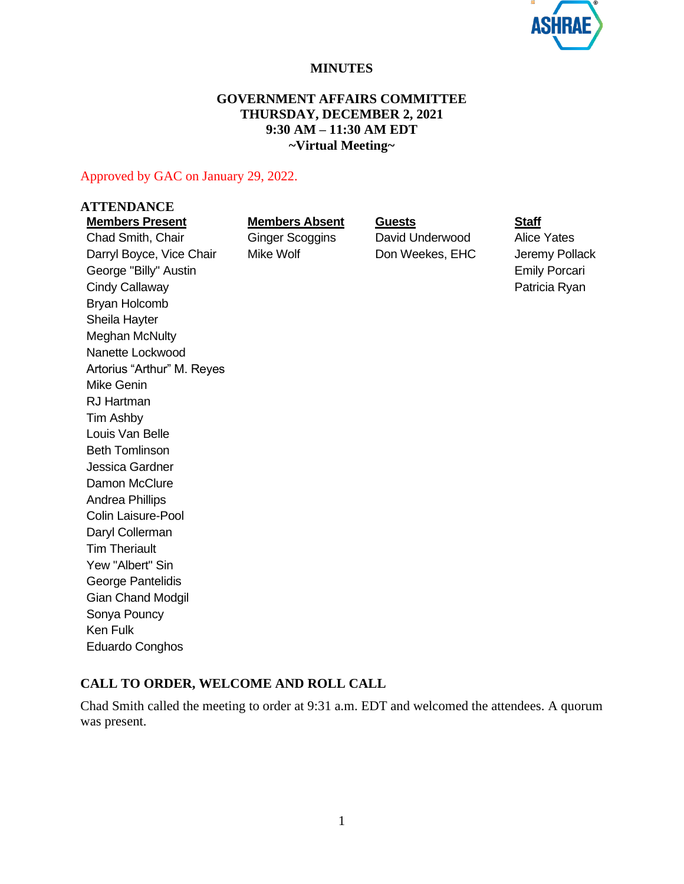

#### **MINUTES**

#### **GOVERNMENT AFFAIRS COMMITTEE THURSDAY, DECEMBER 2, 2021 9:30 AM – 11:30 AM EDT ~Virtual Meeting~**

Approved by GAC on January 29, 2022.

# **ATTENDANCE**

Chad Smith, Chair **Ginger Scoggins** David Underwood Alice Yates Darryl Boyce, Vice Chair Mike Wolf **Don Weekes, EHC** Jeremy Pollack George "Billy" Austin **Emily Porcari** Emily Porcari Cindy Callaway **Patricia Ryan** Bryan Holcomb Sheila Hayter Meghan McNulty Nanette Lockwood Artorius "Arthur" M. Reyes Mike Genin RJ Hartman Tim Ashby Louis Van Belle Beth Tomlinson Jessica Gardner Damon McClure Andrea Phillips Colin Laisure-Pool Daryl Collerman Tim Theriault Yew "Albert" Sin George Pantelidis Gian Chand Modgil Sonya Pouncy Ken Fulk Eduardo Conghos

**Members Present Members Absent Guests Staff**

## **CALL TO ORDER, WELCOME AND ROLL CALL**

Chad Smith called the meeting to order at 9:31 a.m. EDT and welcomed the attendees. A quorum was present.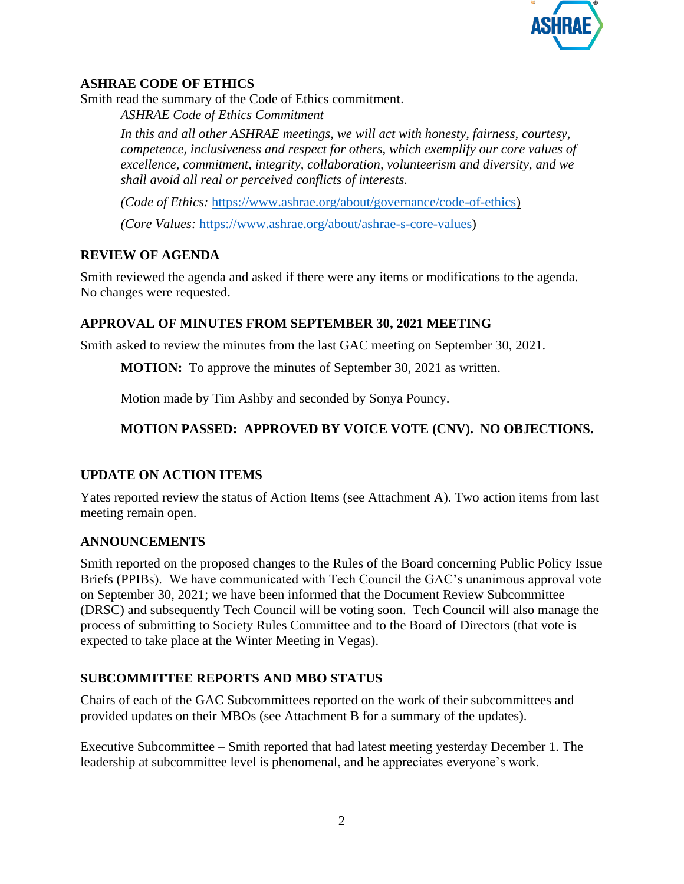

## **ASHRAE CODE OF ETHICS**

Smith read the summary of the Code of Ethics commitment.

*ASHRAE Code of Ethics Commitment* 

*In this and all other ASHRAE meetings, we will act with honesty, fairness, courtesy, competence, inclusiveness and respect for others, which exemplify our core values of excellence, commitment, integrity, collaboration, volunteerism and diversity, and we shall avoid all real or perceived conflicts of interests.*

*(Code of Ethics:* [https://www.ashrae.org/about/governance/code-of-ethics\)](https://www.ashrae.org/about/governance/code-of-ethics)

*(Core Values:* [https://www.ashrae.org/about/ashrae-s-core-values\)](https://www.ashrae.org/about/ashrae-s-core-values)

## **REVIEW OF AGENDA**

Smith reviewed the agenda and asked if there were any items or modifications to the agenda. No changes were requested.

## **APPROVAL OF MINUTES FROM SEPTEMBER 30, 2021 MEETING**

Smith asked to review the minutes from the last GAC meeting on September 30, 2021.

**MOTION:** To approve the minutes of September 30, 2021 as written.

Motion made by Tim Ashby and seconded by Sonya Pouncy.

## **MOTION PASSED: APPROVED BY VOICE VOTE (CNV). NO OBJECTIONS.**

## **UPDATE ON ACTION ITEMS**

Yates reported review the status of Action Items (see Attachment A). Two action items from last meeting remain open.

## **ANNOUNCEMENTS**

Smith reported on the proposed changes to the Rules of the Board concerning Public Policy Issue Briefs (PPIBs). We have communicated with Tech Council the GAC's unanimous approval vote on September 30, 2021; we have been informed that the Document Review Subcommittee (DRSC) and subsequently Tech Council will be voting soon. Tech Council will also manage the process of submitting to Society Rules Committee and to the Board of Directors (that vote is expected to take place at the Winter Meeting in Vegas).

## **SUBCOMMITTEE REPORTS AND MBO STATUS**

Chairs of each of the GAC Subcommittees reported on the work of their subcommittees and provided updates on their MBOs (see Attachment B for a summary of the updates).

Executive Subcommittee – Smith reported that had latest meeting yesterday December 1. The leadership at subcommittee level is phenomenal, and he appreciates everyone's work.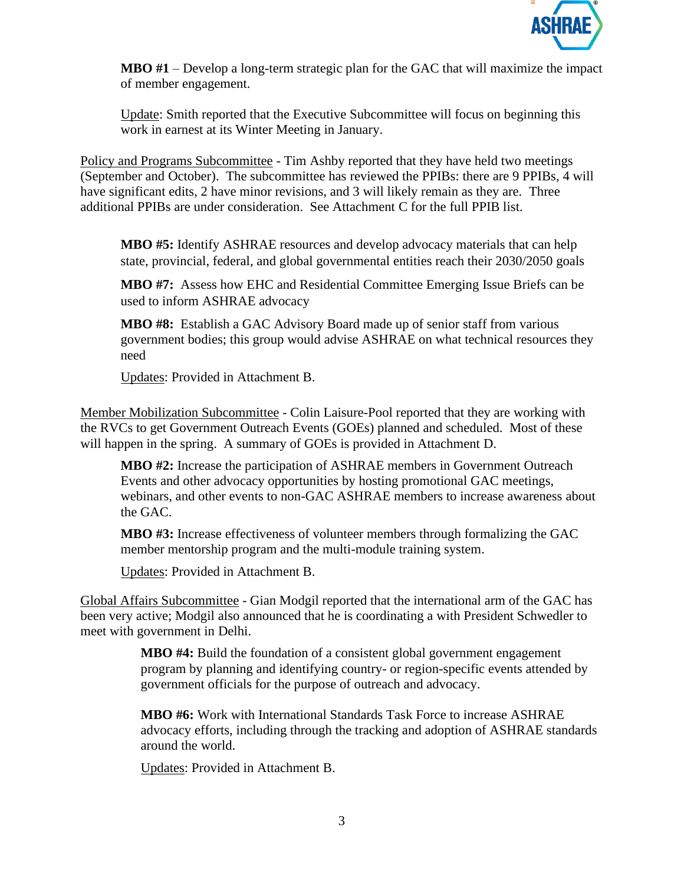

**MBO #1** – Develop a long-term strategic plan for the GAC that will maximize the impact of member engagement.

Update: Smith reported that the Executive Subcommittee will focus on beginning this work in earnest at its Winter Meeting in January.

Policy and Programs Subcommittee - Tim Ashby reported that they have held two meetings (September and October). The subcommittee has reviewed the PPIBs: there are 9 PPIBs, 4 will have significant edits, 2 have minor revisions, and 3 will likely remain as they are. Three additional PPIBs are under consideration. See Attachment C for the full PPIB list.

**MBO #5:** Identify ASHRAE resources and develop advocacy materials that can help state, provincial, federal, and global governmental entities reach their 2030/2050 goals

**MBO #7:** Assess how EHC and Residential Committee Emerging Issue Briefs can be used to inform ASHRAE advocacy

**MBO #8:** Establish a GAC Advisory Board made up of senior staff from various government bodies; this group would advise ASHRAE on what technical resources they need

Updates: Provided in Attachment B.

Member Mobilization Subcommittee - Colin Laisure-Pool reported that they are working with the RVCs to get Government Outreach Events (GOEs) planned and scheduled. Most of these will happen in the spring. A summary of GOEs is provided in Attachment D.

**MBO #2:** Increase the participation of ASHRAE members in Government Outreach Events and other advocacy opportunities by hosting promotional GAC meetings, webinars, and other events to non-GAC ASHRAE members to increase awareness about the GAC.

**MBO #3:** Increase effectiveness of volunteer members through formalizing the GAC member mentorship program and the multi-module training system.

Updates: Provided in Attachment B.

Global Affairs Subcommittee - Gian Modgil reported that the international arm of the GAC has been very active; Modgil also announced that he is coordinating a with President Schwedler to meet with government in Delhi.

> **MBO #4:** Build the foundation of a consistent global government engagement program by planning and identifying country- or region-specific events attended by government officials for the purpose of outreach and advocacy.

**MBO #6:** Work with International Standards Task Force to increase ASHRAE advocacy efforts, including through the tracking and adoption of ASHRAE standards around the world.

Updates: Provided in Attachment B.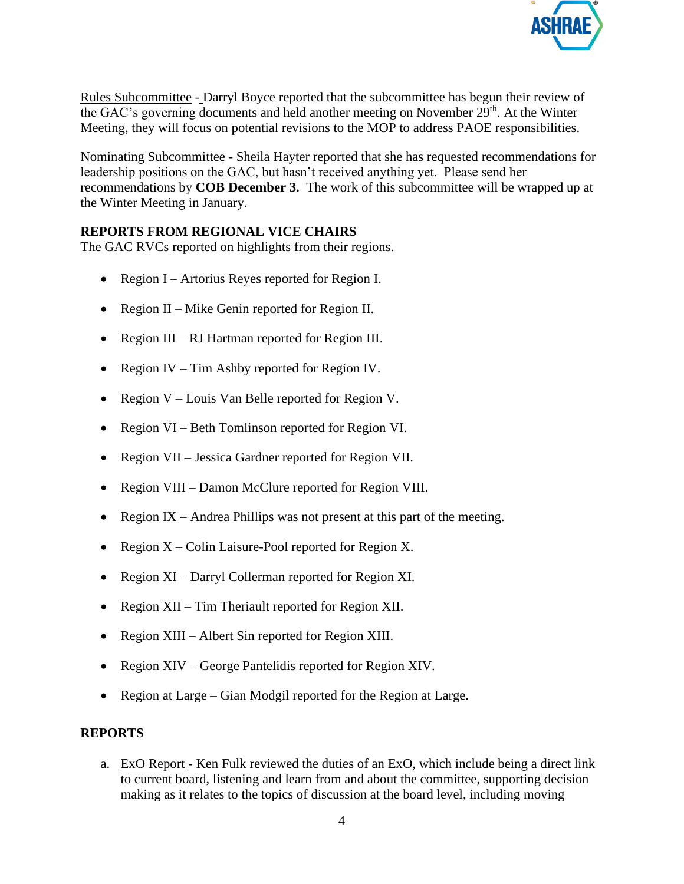

Rules Subcommittee - Darryl Boyce reported that the subcommittee has begun their review of the GAC's governing documents and held another meeting on November  $29<sup>th</sup>$ . At the Winter Meeting, they will focus on potential revisions to the MOP to address PAOE responsibilities.

Nominating Subcommittee - Sheila Hayter reported that she has requested recommendations for leadership positions on the GAC, but hasn't received anything yet. Please send her recommendations by **COB December 3.** The work of this subcommittee will be wrapped up at the Winter Meeting in January.

#### **REPORTS FROM REGIONAL VICE CHAIRS**

The GAC RVCs reported on highlights from their regions.

- Region I Artorius Reyes reported for Region I.
- Region II Mike Genin reported for Region II.
- Region III RJ Hartman reported for Region III.
- Region IV Tim Ashby reported for Region IV.
- Region  $V$  Louis Van Belle reported for Region V.
- Region VI Beth Tomlinson reported for Region VI.
- Region VII Jessica Gardner reported for Region VII.
- Region VIII Damon McClure reported for Region VIII.
- Region IX Andrea Phillips was not present at this part of the meeting.
- Region  $X -$ Colin Laisure-Pool reported for Region X.
- Region XI Darryl Collerman reported for Region XI.
- Region XII Tim Theriault reported for Region XII.
- Region XIII Albert Sin reported for Region XIII.
- Region XIV George Pantelidis reported for Region XIV.
- Region at Large Gian Modgil reported for the Region at Large.

#### **REPORTS**

a. ExO Report - Ken Fulk reviewed the duties of an ExO, which include being a direct link to current board, listening and learn from and about the committee, supporting decision making as it relates to the topics of discussion at the board level, including moving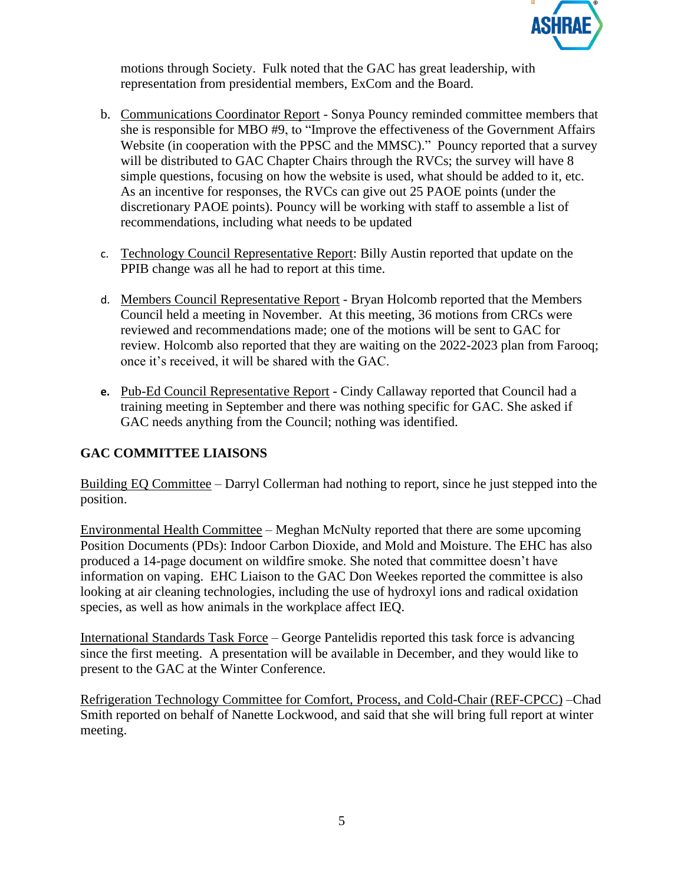

motions through Society. Fulk noted that the GAC has great leadership, with representation from presidential members, ExCom and the Board.

- b. Communications Coordinator Report Sonya Pouncy reminded committee members that she is responsible for MBO #9, to "Improve the effectiveness of the Government Affairs Website (in cooperation with the PPSC and the MMSC)." Pouncy reported that a survey will be distributed to GAC Chapter Chairs through the RVCs; the survey will have 8 simple questions, focusing on how the website is used, what should be added to it, etc. As an incentive for responses, the RVCs can give out 25 PAOE points (under the discretionary PAOE points). Pouncy will be working with staff to assemble a list of recommendations, including what needs to be updated
- c. Technology Council Representative Report: Billy Austin reported that update on the PPIB change was all he had to report at this time.
- d. Members Council Representative Report Bryan Holcomb reported that the Members Council held a meeting in November. At this meeting, 36 motions from CRCs were reviewed and recommendations made; one of the motions will be sent to GAC for review. Holcomb also reported that they are waiting on the 2022-2023 plan from Farooq; once it's received, it will be shared with the GAC.
- **e.** Pub-Ed Council Representative Report Cindy Callaway reported that Council had a training meeting in September and there was nothing specific for GAC. She asked if GAC needs anything from the Council; nothing was identified.

#### **GAC COMMITTEE LIAISONS**

Building EQ Committee – Darryl Collerman had nothing to report, since he just stepped into the position.

Environmental Health Committee – Meghan McNulty reported that there are some upcoming Position Documents (PDs): Indoor Carbon Dioxide, and Mold and Moisture. The EHC has also produced a 14-page document on wildfire smoke. She noted that committee doesn't have information on vaping. EHC Liaison to the GAC Don Weekes reported the committee is also looking at air cleaning technologies, including the use of hydroxyl ions and radical oxidation species, as well as how animals in the workplace affect IEQ.

International Standards Task Force – George Pantelidis reported this task force is advancing since the first meeting. A presentation will be available in December, and they would like to present to the GAC at the Winter Conference.

Refrigeration Technology Committee for Comfort, Process, and Cold-Chair (REF-CPCC) –Chad Smith reported on behalf of Nanette Lockwood, and said that she will bring full report at winter meeting.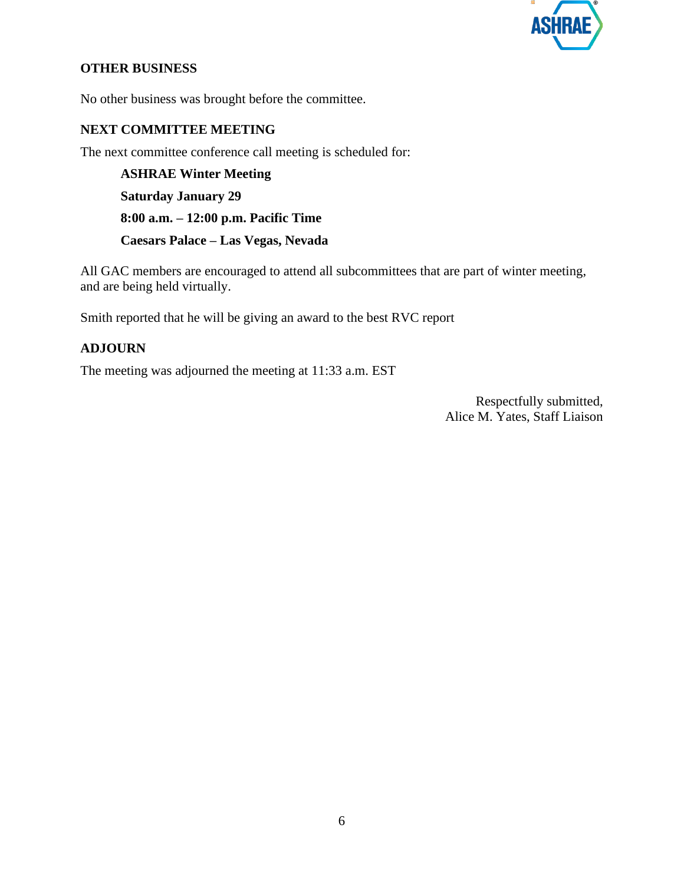

#### **OTHER BUSINESS**

No other business was brought before the committee.

#### **NEXT COMMITTEE MEETING**

The next committee conference call meeting is scheduled for:

**ASHRAE Winter Meeting Saturday January 29 8:00 a.m. – 12:00 p.m. Pacific Time Caesars Palace – Las Vegas, Nevada**

All GAC members are encouraged to attend all subcommittees that are part of winter meeting, and are being held virtually.

Smith reported that he will be giving an award to the best RVC report

#### **ADJOURN**

The meeting was adjourned the meeting at 11:33 a.m. EST

Respectfully submitted, Alice M. Yates, Staff Liaison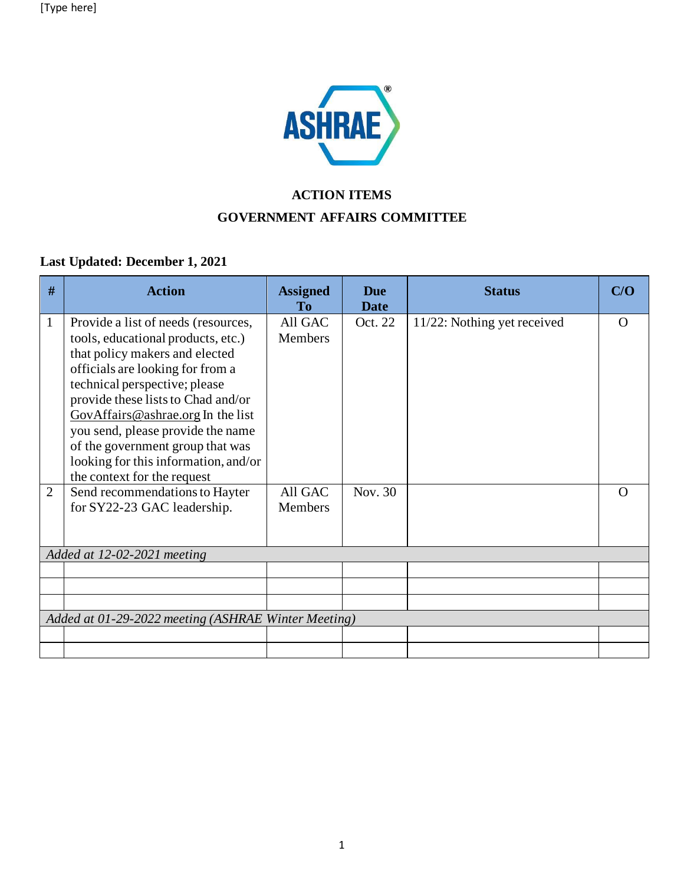

# **ACTION ITEMS GOVERNMENT AFFAIRS COMMITTEE**

## **Last Updated: December 1, 2021**

| #              | <b>Action</b>                                                                                                | <b>Assigned</b><br>To | <b>Due</b><br><b>Date</b> | <b>Status</b>               | C/O      |
|----------------|--------------------------------------------------------------------------------------------------------------|-----------------------|---------------------------|-----------------------------|----------|
| $\mathbf{1}$   | Provide a list of needs (resources,<br>tools, educational products, etc.)<br>that policy makers and elected  | All GAC<br>Members    | Oct. 22                   | 11/22: Nothing yet received | $\Omega$ |
|                | officials are looking for from a<br>technical perspective; please                                            |                       |                           |                             |          |
|                | provide these lists to Chad and/or<br>GovAffairs@ashrae.org In the list<br>you send, please provide the name |                       |                           |                             |          |
|                | of the government group that was<br>looking for this information, and/or                                     |                       |                           |                             |          |
| $\overline{2}$ | the context for the request<br>Send recommendations to Hayter<br>for SY22-23 GAC leadership.                 | All GAC<br>Members    | Nov. 30                   |                             | $\Omega$ |
|                |                                                                                                              |                       |                           |                             |          |
|                | Added at 12-02-2021 meeting                                                                                  |                       |                           |                             |          |
|                |                                                                                                              |                       |                           |                             |          |
|                | Added at 01-29-2022 meeting (ASHRAE Winter Meeting)                                                          |                       |                           |                             |          |
|                |                                                                                                              |                       |                           |                             |          |
|                |                                                                                                              |                       |                           |                             |          |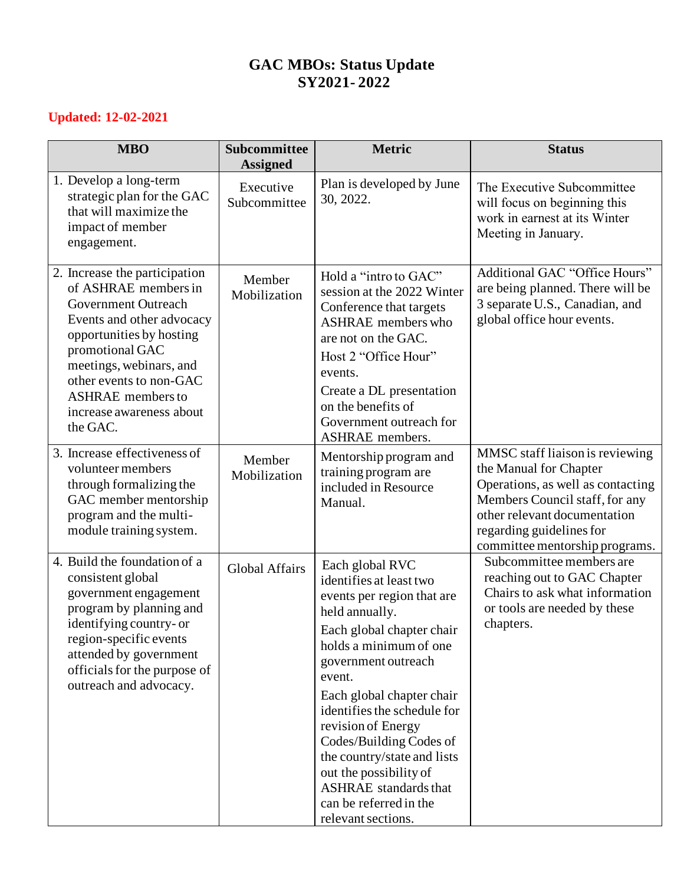## **GAC MBOs: Status Update SY2021- 2022**

## **Updated: 12-02-2021**

| <b>MBO</b>                                                                                                                                                                                                                                                                         | <b>Subcommittee</b><br><b>Assigned</b> | <b>Metric</b>                                                                                                                                                                                                                                                                                                                                                                                                                            | <b>Status</b>                                                                                                                                                                                                                  |
|------------------------------------------------------------------------------------------------------------------------------------------------------------------------------------------------------------------------------------------------------------------------------------|----------------------------------------|------------------------------------------------------------------------------------------------------------------------------------------------------------------------------------------------------------------------------------------------------------------------------------------------------------------------------------------------------------------------------------------------------------------------------------------|--------------------------------------------------------------------------------------------------------------------------------------------------------------------------------------------------------------------------------|
| 1. Develop a long-term<br>strategic plan for the GAC<br>that will maximize the<br>impact of member<br>engagement.                                                                                                                                                                  | Executive<br>Subcommittee              | Plan is developed by June<br>30, 2022.                                                                                                                                                                                                                                                                                                                                                                                                   | The Executive Subcommittee<br>will focus on beginning this<br>work in earnest at its Winter<br>Meeting in January.                                                                                                             |
| 2. Increase the participation<br>of ASHRAE members in<br>Government Outreach<br>Events and other advocacy<br>opportunities by hosting<br>promotional GAC<br>meetings, webinars, and<br>other events to non-GAC<br><b>ASHRAE</b> members to<br>increase awareness about<br>the GAC. | Member<br>Mobilization                 | Hold a "intro to GAC"<br>session at the 2022 Winter<br>Conference that targets<br><b>ASHRAE</b> members who<br>are not on the GAC.<br>Host 2 "Office Hour"<br>events.<br>Create a DL presentation<br>on the benefits of<br>Government outreach for<br><b>ASHRAE</b> members.                                                                                                                                                             | Additional GAC "Office Hours"<br>are being planned. There will be<br>3 separate U.S., Canadian, and<br>global office hour events.                                                                                              |
| 3. Increase effectiveness of<br>volunteer members<br>through formalizing the<br>GAC member mentorship<br>program and the multi-<br>module training system.                                                                                                                         | Member<br>Mobilization                 | Mentorship program and<br>training program are<br>included in Resource<br>Manual.                                                                                                                                                                                                                                                                                                                                                        | MMSC staff liaison is reviewing<br>the Manual for Chapter<br>Operations, as well as contacting<br>Members Council staff, for any<br>other relevant documentation<br>regarding guidelines for<br>committee mentorship programs. |
| 4. Build the foundation of a<br>consistent global<br>government engagement<br>program by planning and<br>identifying country- or<br>region-specific events<br>attended by government<br>officials for the purpose of<br>outreach and advocacy.                                     | <b>Global Affairs</b>                  | Each global RVC<br>identifies at least two<br>events per region that are<br>held annually.<br>Each global chapter chair<br>holds a minimum of one<br>government outreach<br>event.<br>Each global chapter chair<br>identifies the schedule for<br>revision of Energy<br>Codes/Building Codes of<br>the country/state and lists<br>out the possibility of<br><b>ASHRAE</b> standards that<br>can be referred in the<br>relevant sections. | Subcommittee members are<br>reaching out to GAC Chapter<br>Chairs to ask what information<br>or tools are needed by these<br>chapters.                                                                                         |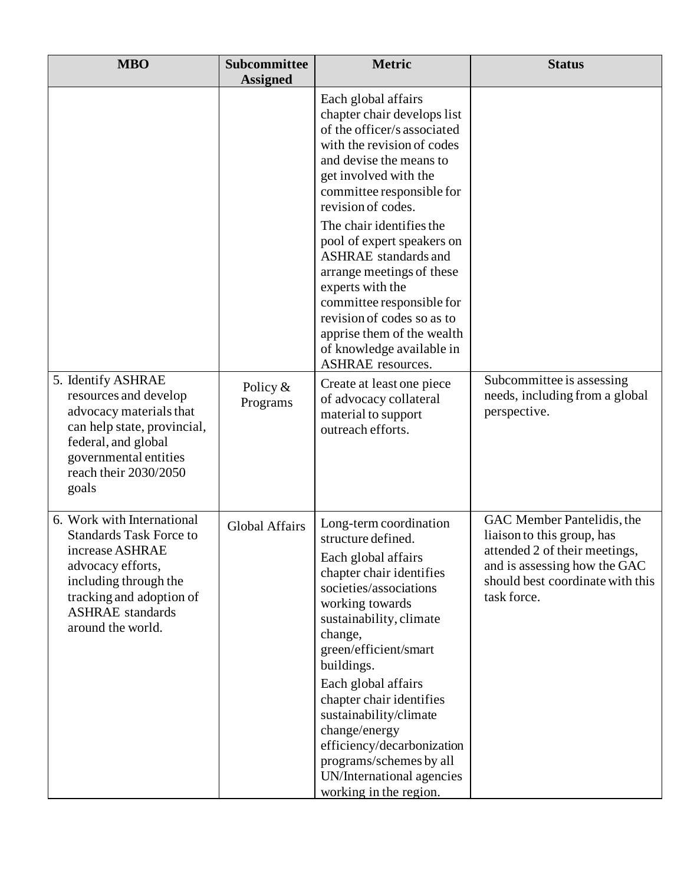| <b>MBO</b><br>Subcommittee<br><b>Assigned</b>                                                                                                                                                             |                        | <b>Metric</b>                                                                                                                                                                                                                                                                                                                                                                                                                                                                                                      | <b>Status</b>                                                                                                                                                                |
|-----------------------------------------------------------------------------------------------------------------------------------------------------------------------------------------------------------|------------------------|--------------------------------------------------------------------------------------------------------------------------------------------------------------------------------------------------------------------------------------------------------------------------------------------------------------------------------------------------------------------------------------------------------------------------------------------------------------------------------------------------------------------|------------------------------------------------------------------------------------------------------------------------------------------------------------------------------|
|                                                                                                                                                                                                           |                        | Each global affairs<br>chapter chair develops list<br>of the officer/s associated<br>with the revision of codes<br>and devise the means to<br>get involved with the<br>committee responsible for<br>revision of codes.<br>The chair identifies the<br>pool of expert speakers on<br><b>ASHRAE</b> standards and<br>arrange meetings of these<br>experts with the<br>committee responsible for<br>revision of codes so as to<br>apprise them of the wealth<br>of knowledge available in<br><b>ASHRAE</b> resources. |                                                                                                                                                                              |
| 5. Identify ASHRAE<br>resources and develop<br>advocacy materials that<br>can help state, provincial,<br>federal, and global<br>governmental entities<br>reach their 2030/2050<br>goals                   | Policy $&$<br>Programs | Create at least one piece<br>of advocacy collateral<br>material to support<br>outreach efforts.                                                                                                                                                                                                                                                                                                                                                                                                                    | Subcommittee is assessing<br>needs, including from a global<br>perspective.                                                                                                  |
| 6. Work with International<br><b>Standards Task Force to</b><br>increase ASHRAE<br>advocacy efforts,<br>including through the<br>tracking and adoption of<br><b>ASHRAE</b> standards<br>around the world. | <b>Global Affairs</b>  | Long-term coordination<br>structure defined.<br>Each global affairs<br>chapter chair identifies<br>societies/associations<br>working towards<br>sustainability, climate<br>change,<br>green/efficient/smart<br>buildings.<br>Each global affairs<br>chapter chair identifies<br>sustainability/climate<br>change/energy<br>efficiency/decarbonization<br>programs/schemes by all<br>UN/International agencies<br>working in the region.                                                                            | GAC Member Pantelidis, the<br>liaison to this group, has<br>attended 2 of their meetings.<br>and is assessing how the GAC<br>should best coordinate with this<br>task force. |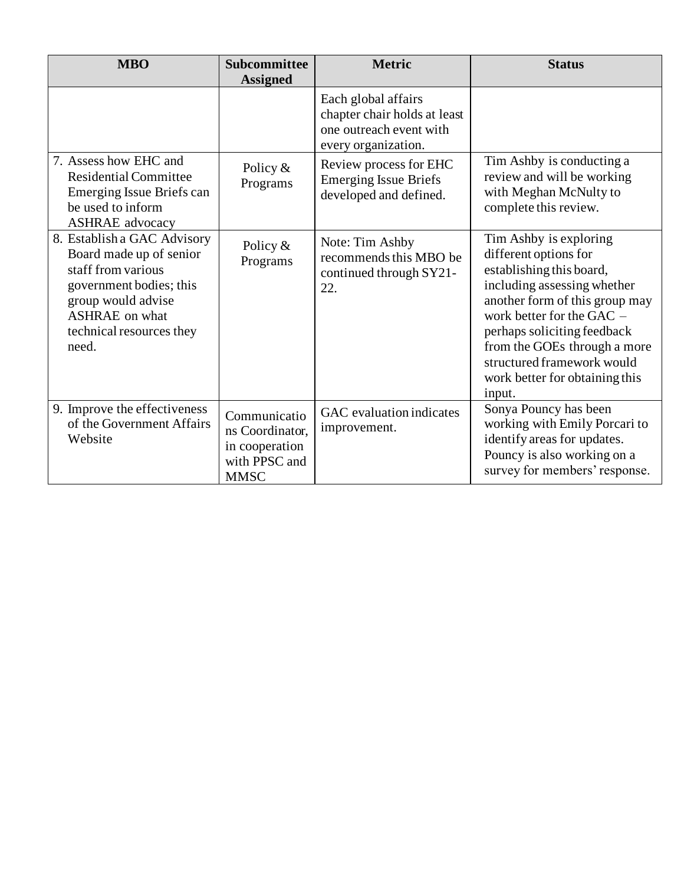| <b>MBO</b>                                                                                                                                                                                  | <b>Subcommittee</b><br><b>Assigned</b>                                            | <b>Metric</b>                                                                                         | <b>Status</b>                                                                                                                                                                                                                                                                                                      |
|---------------------------------------------------------------------------------------------------------------------------------------------------------------------------------------------|-----------------------------------------------------------------------------------|-------------------------------------------------------------------------------------------------------|--------------------------------------------------------------------------------------------------------------------------------------------------------------------------------------------------------------------------------------------------------------------------------------------------------------------|
|                                                                                                                                                                                             |                                                                                   | Each global affairs<br>chapter chair holds at least<br>one outreach event with<br>every organization. |                                                                                                                                                                                                                                                                                                                    |
| 7. Assess how EHC and<br><b>Residential Committee</b><br>Emerging Issue Briefs can<br>be used to inform<br><b>ASHRAE</b> advocacy                                                           | Policy $&$<br>Programs                                                            | Review process for EHC<br><b>Emerging Issue Briefs</b><br>developed and defined.                      | Tim Ashby is conducting a<br>review and will be working<br>with Meghan McNulty to<br>complete this review.                                                                                                                                                                                                         |
| 8. Establish a GAC Advisory<br>Board made up of senior<br>staff from various<br>government bodies; this<br>group would advise<br><b>ASHRAE</b> on what<br>technical resources they<br>need. | Policy $&$<br>Programs                                                            | Note: Tim Ashby<br>recommends this MBO be<br>continued through SY21-<br>22.                           | Tim Ashby is exploring<br>different options for<br>establishing this board,<br>including assessing whether<br>another form of this group may<br>work better for the GAC -<br>perhaps soliciting feedback<br>from the GOEs through a more<br>structured framework would<br>work better for obtaining this<br>input. |
| 9. Improve the effectiveness<br>of the Government Affairs<br>Website                                                                                                                        | Communicatio<br>ns Coordinator,<br>in cooperation<br>with PPSC and<br><b>MMSC</b> | GAC evaluation indicates<br>improvement.                                                              | Sonya Pouncy has been<br>working with Emily Porcari to<br>identify areas for updates.<br>Pouncy is also working on a<br>survey for members' response.                                                                                                                                                              |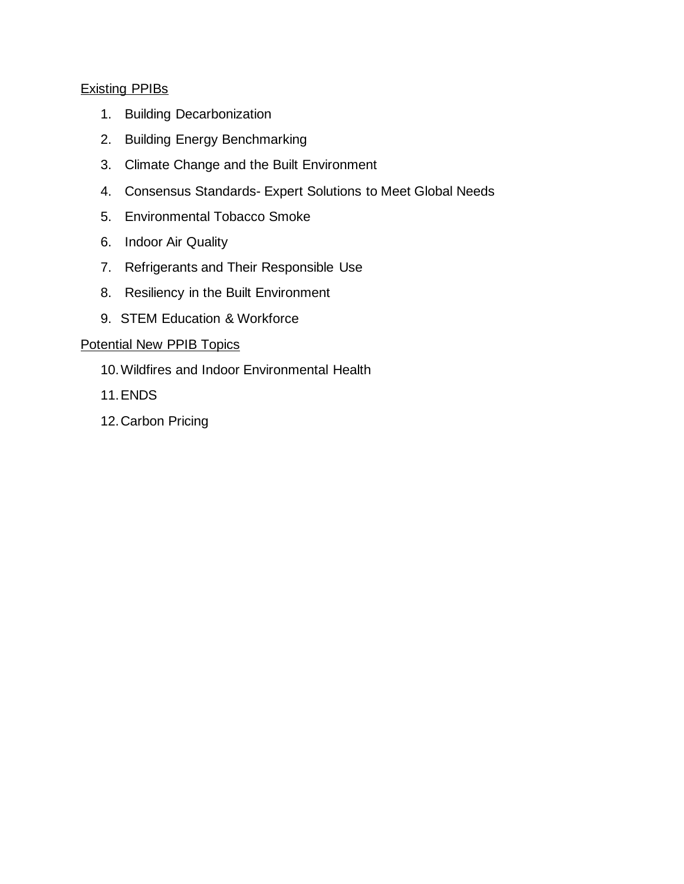#### Existing PPIBs

- 1. [Building Decarbonization](https://www.ashrae.org/file%20library/about/government%20affairs/public%20policy%20resources/briefs/ppib-on-building-decarbonization.pdf)
- 2. [Building Energy Benchmarking](https://www.ashrae.org/file%20library/about/government%20affairs/public%20policy%20resources/briefs/building-energy-benchmarking--assessments--and-performance-targets.pdf)
- 3. [Climate Change and the Built Environment](https://www.ashrae.org/file%20library/about/government%20affairs/public%20policy%20resources/briefs/climate-change-and-the-built-environment.pdf)
- 4. Consensus Standards- [Expert Solutions to Meet Global Needs](https://www.ashrae.org/file%20library/about/government%20affairs/public%20policy%20resources/briefs/consensus-standards-expert-solutions-to-meet-global-needs.pdf)
- 5. [Environmental Tobacco Smoke](https://www.ashrae.org/file%20library/about/government%20affairs/public%20policy%20resources/briefs/environmental-tobacco-smoke.pdf)
- 6. [Indoor Air Quality](https://www.ashrae.org/file%20library/about/government%20affairs/public%20policy%20resources/briefs/indoor-air-quality.pdf)
- 7. [Refrigerants and Their Responsible Use](https://www.ashrae.org/file%20library/about/government%20affairs/public%20policy%20resources/briefs/refrigerants-and-their-responsible-use.pdf)
- 8. [Resiliency in the Built Environment](https://www.ashrae.org/file%20library/about/government%20affairs/public%20policy%20resources/briefs/resiliency-in-the-built-environment.pdf)
- 9. [STEM Education & Workforce](https://www.ashrae.org/file%20library/about/government%20affairs/public%20policy%20resources/briefs/stem-education---workforce.pdf)

## Potential New PPIB Topics

- 10.Wildfires and Indoor Environmental Health
- 11.ENDS
- 12.Carbon Pricing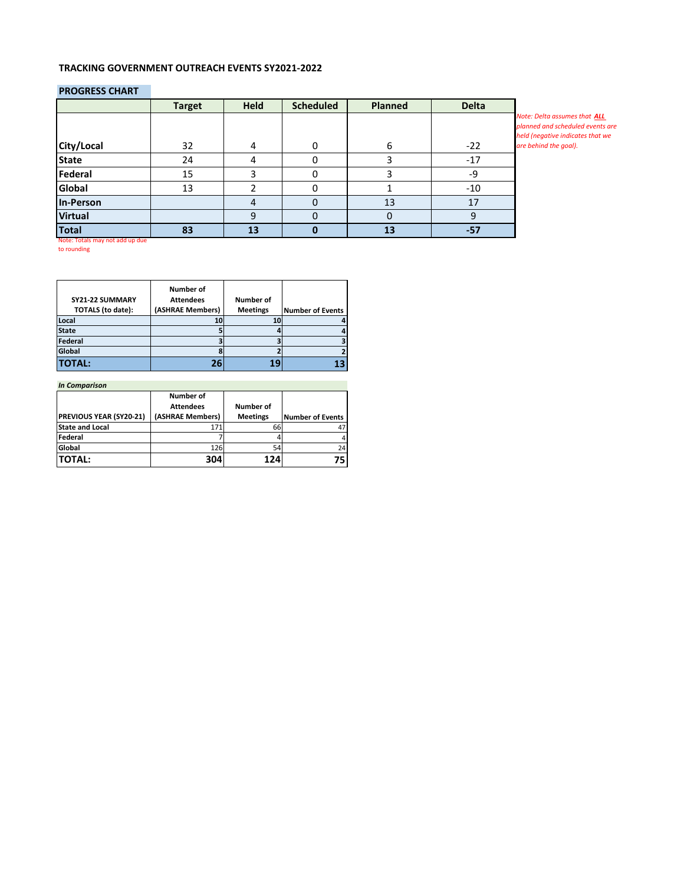#### **TRACKING GOVERNMENT OUTREACH EVENTS SY2021-2022**

#### **PROGRESS CHART**

|                | <b>Target</b> | <b>Held</b> | <b>Scheduled</b> | <b>Planned</b> | <b>Delta</b> |                                                                                                      |
|----------------|---------------|-------------|------------------|----------------|--------------|------------------------------------------------------------------------------------------------------|
|                |               |             |                  |                |              | Note: Delta assumes that ALL<br>planned and scheduled events are<br>held (negative indicates that we |
| City/Local     | 32            |             | 0                | 6              | $-22$        | are behind the goal).                                                                                |
| <b>State</b>   | 24            |             |                  |                | $-17$        |                                                                                                      |
| Federal        | 15            |             |                  |                | $-9$         |                                                                                                      |
| Global         | 13            |             |                  |                | $-10$        |                                                                                                      |
| In-Person      |               |             |                  | 13             |              |                                                                                                      |
| <b>Virtual</b> |               | q           | O                |                |              |                                                                                                      |
| <b>Total</b>   | 83            | 13          |                  | 13             | $-57$        |                                                                                                      |

Note: Totals may not add up due to rounding

|                          | Number of        |                  |                         |
|--------------------------|------------------|------------------|-------------------------|
| SY21-22 SUMMARY          | <b>Attendees</b> | <b>Number of</b> |                         |
| <b>TOTALS</b> (to date): | (ASHRAE Members) | <b>Meetings</b>  | <b>Number of Events</b> |
| Local                    | 10               |                  |                         |
| <b>State</b>             |                  |                  |                         |
| Federal                  |                  |                  |                         |
| Global                   |                  |                  |                         |
| <b>TOTAL:</b>            | 26               | 1 C              |                         |

| <b>In Comparison</b>           |                  |                 |                         |  |  |  |  |  |  |  |  |
|--------------------------------|------------------|-----------------|-------------------------|--|--|--|--|--|--|--|--|
|                                | Number of        |                 |                         |  |  |  |  |  |  |  |  |
|                                | <b>Attendees</b> | Number of       |                         |  |  |  |  |  |  |  |  |
| <b>PREVIOUS YEAR (SY20-21)</b> | (ASHRAE Members) | <b>Meetings</b> | <b>Number of Events</b> |  |  |  |  |  |  |  |  |
| <b>State and Local</b>         | 171              | 66              |                         |  |  |  |  |  |  |  |  |
| Federal                        |                  |                 | 4                       |  |  |  |  |  |  |  |  |
| Global                         | 126              | 54              | 24                      |  |  |  |  |  |  |  |  |
| <b>TOTAL:</b>                  | 304              | 124             | 75                      |  |  |  |  |  |  |  |  |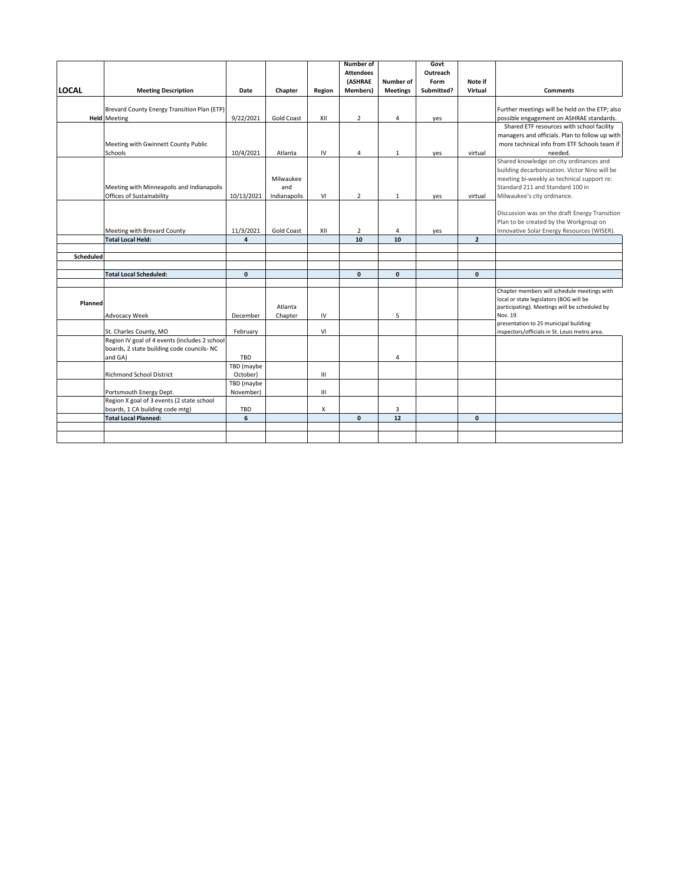|              |                                               |                         |                   |                | Number of        |                 | Govt       |                |                                                           |
|--------------|-----------------------------------------------|-------------------------|-------------------|----------------|------------------|-----------------|------------|----------------|-----------------------------------------------------------|
|              |                                               |                         |                   |                | <b>Attendees</b> |                 | Outreach   |                |                                                           |
|              |                                               |                         |                   |                | (ASHRAE          | Number of       | Form       | Note if        |                                                           |
| <b>LOCAL</b> | <b>Meeting Description</b>                    | Date                    | Chapter           | Region         | <b>Members</b> ) | <b>Meetings</b> | Submitted? | Virtual        | <b>Comments</b>                                           |
|              |                                               |                         |                   |                |                  |                 |            |                |                                                           |
|              | Brevard County Energy Transition Plan (ETP)   |                         |                   |                |                  |                 |            |                | Further meetings will be held on the ETP; also            |
|              | <b>Held</b> Meeting                           | 9/22/2021               | Gold Coast        | XII            | $\overline{2}$   | 4               | yes        |                | possible engagement on ASHRAE standards.                  |
|              |                                               |                         |                   |                |                  |                 |            |                | Shared ETF resources with school facility                 |
|              |                                               |                         |                   |                |                  |                 |            |                | managers and officials. Plan to follow up with            |
|              | Meeting with Gwinnett County Public           |                         |                   |                |                  |                 |            |                | more technical info from ETF Schools team if              |
|              | Schools                                       | 10/4/2021               | Atlanta           | IV             | 4                | 1               | yes        | virtual        | needed.                                                   |
|              |                                               |                         |                   |                |                  |                 |            |                | Shared knowledge on city ordinances and                   |
|              |                                               |                         |                   |                |                  |                 |            |                | building decarbonization. Victor Nino will be             |
|              |                                               |                         | Milwaukee         |                |                  |                 |            |                | meeting bi-weekly as technical support re:                |
|              | Meeting with Minneapolis and Indianapolis     |                         | and               |                |                  |                 |            |                | Standard 211 and Standard 100 in                          |
|              |                                               |                         |                   |                |                  |                 |            |                |                                                           |
|              | Offices of Sustainability                     | 10/13/2021              | Indianapolis      | VI             | $\overline{2}$   | 1               | yes        | virtual        | Milwaukee's city ordinance.                               |
|              |                                               |                         |                   |                |                  |                 |            |                |                                                           |
|              |                                               |                         |                   |                |                  |                 |            |                | Discussion was on the draft Energy Transition             |
|              |                                               |                         |                   |                |                  |                 |            |                | Plan to be created by the Workgroup on                    |
|              | Meeting with Brevard County                   | 11/3/2021               | <b>Gold Coast</b> | XII            | $\overline{2}$   | 4               | yes        |                | Innovative Solar Energy Resources (WISER).                |
|              | <b>Total Local Held:</b>                      | $\overline{\mathbf{4}}$ |                   |                | 10               | 10              |            | $\overline{2}$ |                                                           |
|              |                                               |                         |                   |                |                  |                 |            |                |                                                           |
| Scheduled    |                                               |                         |                   |                |                  |                 |            |                |                                                           |
|              |                                               |                         |                   |                |                  |                 |            |                |                                                           |
|              | <b>Total Local Scheduled:</b>                 | $\mathbf{0}$            |                   |                | $\mathbf{0}$     | $\mathbf{0}$    |            | $\mathbf{0}$   |                                                           |
|              |                                               |                         |                   |                |                  |                 |            |                |                                                           |
|              |                                               |                         |                   |                |                  |                 |            |                | Chapter members will schedule meetings with               |
| Planned      |                                               |                         | Atlanta           |                |                  |                 |            |                | local or state legislators (BOG will be                   |
|              | Advocacy Week                                 | December                |                   | IV             |                  | 5               |            |                | participating). Meetings will be scheduled by<br>Nov. 19. |
|              |                                               |                         | Chapter           |                |                  |                 |            |                | presentation to 25 municipal building                     |
|              | St. Charles County, MO                        | February                |                   | VI             |                  |                 |            |                | inspectors/officials in St. Louis metro area.             |
|              | Region IV goal of 4 events (includes 2 school |                         |                   |                |                  |                 |            |                |                                                           |
|              | boards, 2 state building code councils- NC    |                         |                   |                |                  |                 |            |                |                                                           |
|              | and GA)                                       | <b>TBD</b>              |                   |                |                  | 4               |            |                |                                                           |
|              |                                               | TBD (maybe              |                   |                |                  |                 |            |                |                                                           |
|              | <b>Richmond School District</b>               | October)                |                   | Ш              |                  |                 |            |                |                                                           |
|              |                                               | TBD (maybe              |                   |                |                  |                 |            |                |                                                           |
|              | Portsmouth Energy Dept.                       | November)               |                   | $\mathbf{III}$ |                  |                 |            |                |                                                           |
|              | Region X goal of 3 events (2 state school     |                         |                   |                |                  |                 |            |                |                                                           |
|              | boards, 1 CA building code mtg)               | TBD                     |                   | X              |                  | 3               |            |                |                                                           |
|              | <b>Total Local Planned:</b>                   | 6                       |                   |                | $\mathbf{0}$     | 12              |            | $\mathbf{0}$   |                                                           |
|              |                                               |                         |                   |                |                  |                 |            |                |                                                           |
|              |                                               |                         |                   |                |                  |                 |            |                |                                                           |
|              |                                               |                         |                   |                |                  |                 |            |                |                                                           |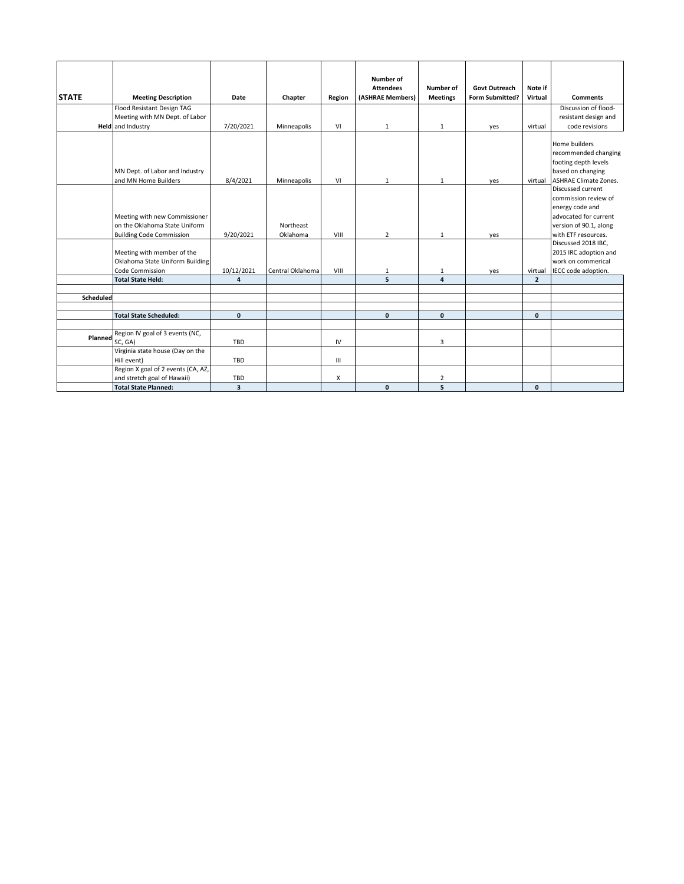|              |                                                                                                   |                         |                       |        | Number of        |                  |                 |                |                                                                                                                                                |
|--------------|---------------------------------------------------------------------------------------------------|-------------------------|-----------------------|--------|------------------|------------------|-----------------|----------------|------------------------------------------------------------------------------------------------------------------------------------------------|
|              |                                                                                                   |                         |                       |        | <b>Attendees</b> | <b>Number of</b> | Govt Outreach   | Note if        |                                                                                                                                                |
| <b>STATE</b> | <b>Meeting Description</b>                                                                        | Date                    | Chapter               | Region | (ASHRAE Members) | <b>Meetings</b>  | Form Submitted? | Virtual        | <b>Comments</b>                                                                                                                                |
|              | Flood Resistant Design TAG                                                                        |                         |                       |        |                  |                  |                 |                | Discussion of flood-                                                                                                                           |
|              | Meeting with MN Dept. of Labor                                                                    |                         |                       |        |                  |                  |                 |                | resistant design and                                                                                                                           |
|              | <b>Held</b> and Industry                                                                          | 7/20/2021               | Minneapolis           | VI     | $\mathbf{1}$     | 1                | yes             | virtual        | code revisions                                                                                                                                 |
|              | MN Dept. of Labor and Industry<br>and MN Home Builders                                            | 8/4/2021                | Minneapolis           | VI     | $\mathbf{1}$     | $\mathbf{1}$     | yes             | virtual        | Home builders<br>recommended changing<br>footing depth levels<br>based on changing<br><b>ASHRAE Climate Zones.</b><br><b>Discussed current</b> |
|              | Meeting with new Commissioner<br>on the Oklahoma State Uniform<br><b>Building Code Commission</b> | 9/20/2021               | Northeast<br>Oklahoma | VIII   | $\overline{2}$   | $\mathbf{1}$     | yes             |                | commission review of<br>energy code and<br>advocated for current<br>version of 90.1, along<br>with ETF resources.                              |
|              | Meeting with member of the<br>Oklahoma State Uniform Building<br>Code Commission                  | 10/12/2021              | Central Oklahoma      | VIII   | 1                | 1                | yes             | virtual        | Discussed 2018 IBC,<br>2015 IRC adoption and<br>work on commerical<br>IECC code adoption.                                                      |
|              | <b>Total State Held:</b>                                                                          | $\overline{4}$          |                       |        | 5                | $\overline{a}$   |                 | $\overline{2}$ |                                                                                                                                                |
|              |                                                                                                   |                         |                       |        |                  |                  |                 |                |                                                                                                                                                |
| Scheduled    |                                                                                                   |                         |                       |        |                  |                  |                 |                |                                                                                                                                                |
|              |                                                                                                   |                         |                       |        |                  |                  |                 |                |                                                                                                                                                |
|              | <b>Total State Scheduled:</b>                                                                     | $\mathbf{0}$            |                       |        | $\mathbf{0}$     | $\mathbf{0}$     |                 | $\mathbf{0}$   |                                                                                                                                                |
| Planned      | Region IV goal of 3 events (NC,                                                                   |                         |                       |        |                  |                  |                 |                |                                                                                                                                                |
|              | SC, GA)                                                                                           | TBD                     |                       | IV     |                  | 3                |                 |                |                                                                                                                                                |
|              | Virginia state house (Day on the<br>Hill event)                                                   | <b>TBD</b>              |                       | Ш      |                  |                  |                 |                |                                                                                                                                                |
|              | Region X goal of 2 events (CA, AZ,<br>and stretch goal of Hawaii)                                 | TBD                     |                       | X      |                  | $\overline{2}$   |                 |                |                                                                                                                                                |
|              | <b>Total State Planned:</b>                                                                       | $\overline{\mathbf{3}}$ |                       |        | $\mathbf{0}$     | 5                |                 | $\mathbf{0}$   |                                                                                                                                                |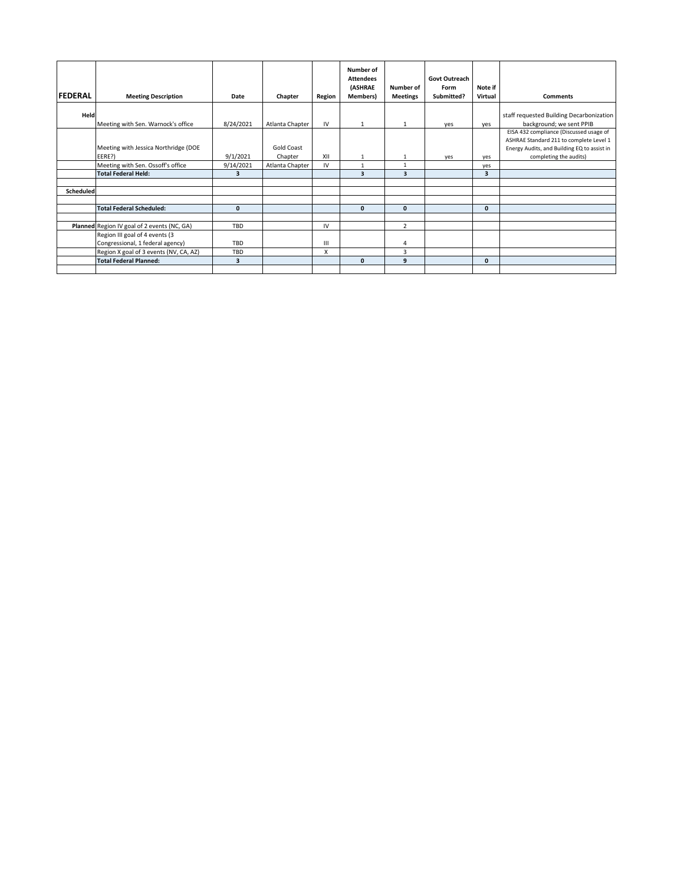|                |                                             |              |                 |        | Number of                   |                 |                       |              |                                                                     |
|----------------|---------------------------------------------|--------------|-----------------|--------|-----------------------------|-----------------|-----------------------|--------------|---------------------------------------------------------------------|
|                |                                             |              |                 |        | <b>Attendees</b><br>(ASHRAE | Number of       | Govt Outreach<br>Form | Note if      |                                                                     |
| <b>FEDERAL</b> | <b>Meeting Description</b>                  | Date         | Chapter         | Region | <b>Members</b> )            | <b>Meetings</b> | Submitted?            | Virtual      | <b>Comments</b>                                                     |
|                |                                             |              |                 |        |                             |                 |                       |              |                                                                     |
| Held           |                                             |              |                 |        |                             |                 |                       |              | staff requested Building Decarbonization                            |
|                | Meeting with Sen. Warnock's office          | 8/24/2021    | Atlanta Chapter | IV     | 1                           | 1               | yes                   | yes          | background; we sent PPIB<br>EISA 432 compliance (Discussed usage of |
|                |                                             |              |                 |        |                             |                 |                       |              | ASHRAE Standard 211 to complete Level 1                             |
|                | Meeting with Jessica Northridge (DOE        |              | Gold Coast      |        |                             |                 |                       |              | Energy Audits, and Building EQ to assist in                         |
|                | EERE?)                                      | 9/1/2021     | Chapter         | XII    | $\mathbf{1}$                | $\mathbf{1}$    | yes                   | ves          | completing the audits)                                              |
|                | Meeting with Sen. Ossoff's office           | 9/14/2021    | Atlanta Chapter | IV     | 1                           | $\mathbf{1}$    |                       | yes          |                                                                     |
|                | <b>Total Federal Held:</b>                  | 3            |                 |        | $\overline{\mathbf{3}}$     | 3               |                       | 3            |                                                                     |
|                |                                             |              |                 |        |                             |                 |                       |              |                                                                     |
| Scheduled      |                                             |              |                 |        |                             |                 |                       |              |                                                                     |
|                |                                             |              |                 |        |                             |                 |                       |              |                                                                     |
|                | <b>Total Federal Scheduled:</b>             | $\mathbf{0}$ |                 |        | $\mathbf{0}$                | $\mathbf{0}$    |                       | $\mathbf{0}$ |                                                                     |
|                |                                             |              |                 |        |                             |                 |                       |              |                                                                     |
|                | Planned Region IV goal of 2 events (NC, GA) | <b>TBD</b>   |                 | IV     |                             | $\overline{2}$  |                       |              |                                                                     |
|                | Region III goal of 4 events (3              |              |                 |        |                             |                 |                       |              |                                                                     |
|                | Congressional, 1 federal agency)            | TBD          |                 | Ш      |                             | 4               |                       |              |                                                                     |
|                | Region X goal of 3 events (NV, CA, AZ)      | <b>TBD</b>   |                 | X      |                             | 3               |                       |              |                                                                     |
|                | <b>Total Federal Planned:</b>               | 3            |                 |        | $\mathbf{0}$                | 9               |                       | $\mathbf{0}$ |                                                                     |
|                |                                             |              |                 |        |                             |                 |                       |              |                                                                     |